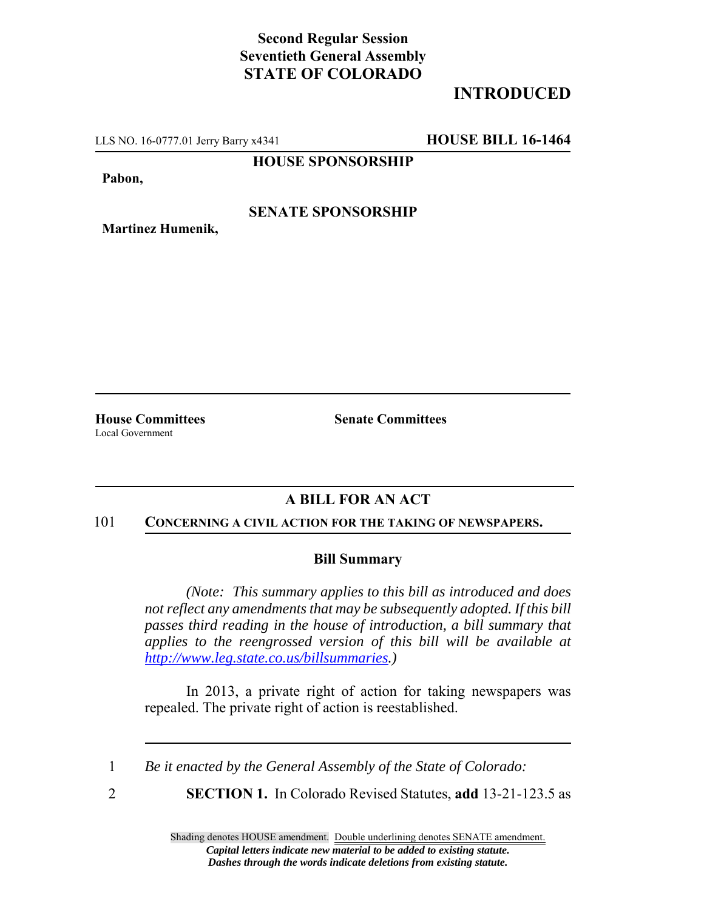## **Second Regular Session Seventieth General Assembly STATE OF COLORADO**

# **INTRODUCED**

LLS NO. 16-0777.01 Jerry Barry x4341 **HOUSE BILL 16-1464**

**Martinez Humenik,**

**HOUSE SPONSORSHIP**

**Pabon,**

### **SENATE SPONSORSHIP**

**House Committees Senate Committees**

Local Government

## **A BILL FOR AN ACT**

#### 101 **CONCERNING A CIVIL ACTION FOR THE TAKING OF NEWSPAPERS.**

### **Bill Summary**

*(Note: This summary applies to this bill as introduced and does not reflect any amendments that may be subsequently adopted. If this bill passes third reading in the house of introduction, a bill summary that applies to the reengrossed version of this bill will be available at http://www.leg.state.co.us/billsummaries.)*

In 2013, a private right of action for taking newspapers was repealed. The private right of action is reestablished.

1 *Be it enacted by the General Assembly of the State of Colorado:*

2 **SECTION 1.** In Colorado Revised Statutes, **add** 13-21-123.5 as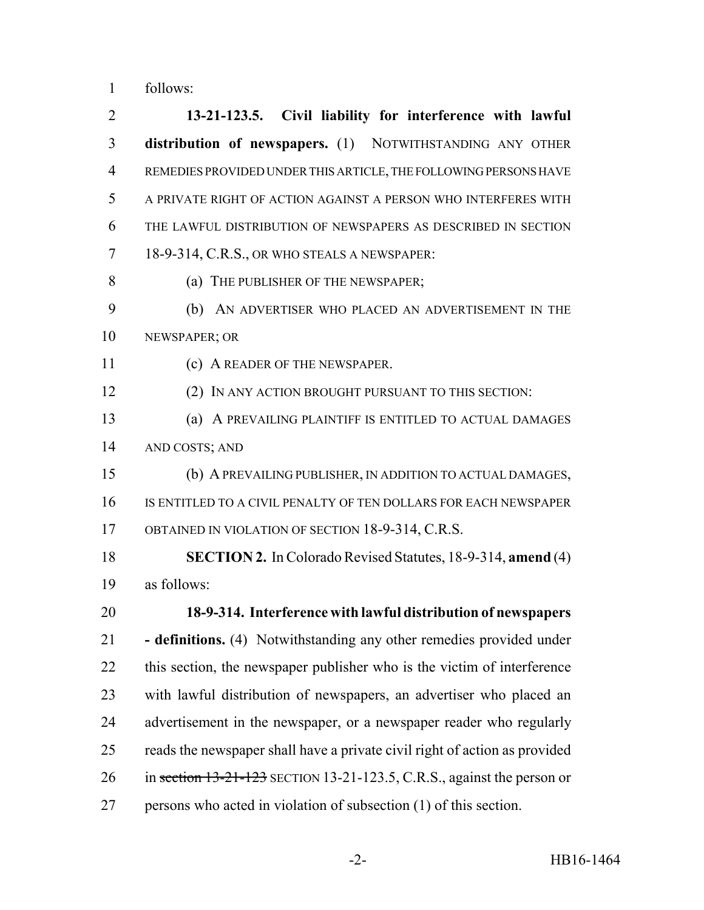follows:

 **13-21-123.5. Civil liability for interference with lawful distribution of newspapers.** (1) NOTWITHSTANDING ANY OTHER REMEDIES PROVIDED UNDER THIS ARTICLE, THE FOLLOWING PERSONS HAVE A PRIVATE RIGHT OF ACTION AGAINST A PERSON WHO INTERFERES WITH THE LAWFUL DISTRIBUTION OF NEWSPAPERS AS DESCRIBED IN SECTION 18-9-314, C.R.S., OR WHO STEALS A NEWSPAPER: (a) THE PUBLISHER OF THE NEWSPAPER; (b) AN ADVERTISER WHO PLACED AN ADVERTISEMENT IN THE NEWSPAPER; OR 11 (c) A READER OF THE NEWSPAPER. (2) IN ANY ACTION BROUGHT PURSUANT TO THIS SECTION: (a) A PREVAILING PLAINTIFF IS ENTITLED TO ACTUAL DAMAGES AND COSTS; AND (b) A PREVAILING PUBLISHER, IN ADDITION TO ACTUAL DAMAGES, IS ENTITLED TO A CIVIL PENALTY OF TEN DOLLARS FOR EACH NEWSPAPER OBTAINED IN VIOLATION OF SECTION 18-9-314, C.R.S. **SECTION 2.** In Colorado Revised Statutes, 18-9-314, **amend** (4) as follows: **18-9-314. Interference with lawful distribution of newspapers - definitions.** (4) Notwithstanding any other remedies provided under this section, the newspaper publisher who is the victim of interference with lawful distribution of newspapers, an advertiser who placed an advertisement in the newspaper, or a newspaper reader who regularly reads the newspaper shall have a private civil right of action as provided 26 in section 13-21-123 SECTION 13-21-123.5, C.R.S., against the person or persons who acted in violation of subsection (1) of this section.